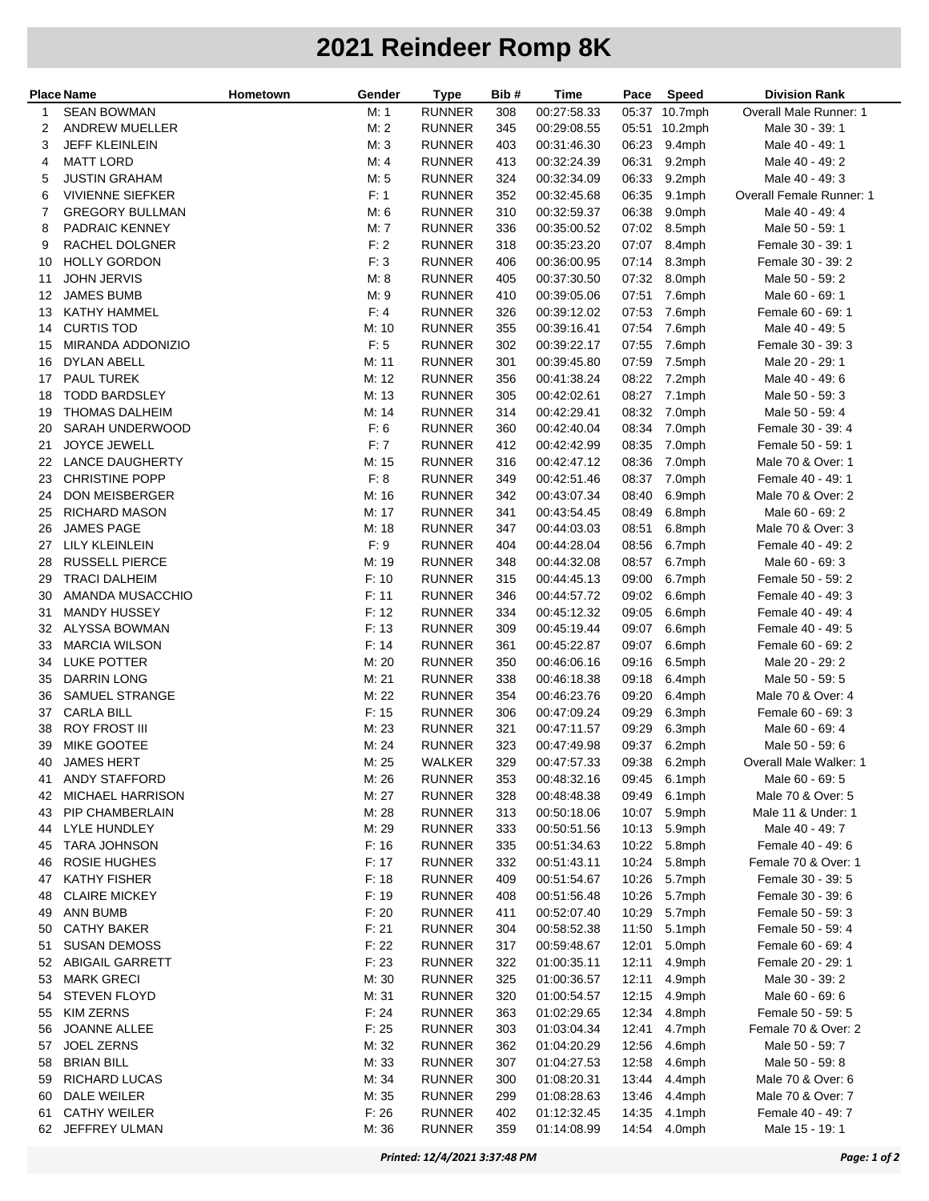## **2021 Reindeer Romp 8K**

| <b>Place Name</b> |                         | Hometown | Gender         | <b>Type</b>   | Bib # | Time        | Pace  | <b>Speed</b> | Division Rank            |
|-------------------|-------------------------|----------|----------------|---------------|-------|-------------|-------|--------------|--------------------------|
| 1                 | <b>SEAN BOWMAN</b>      |          | M: 1           | <b>RUNNER</b> | 308   | 00:27:58.33 | 05:37 | $10.7$ mph   | Overall Male Runner: 1   |
| 2                 | <b>ANDREW MUELLER</b>   |          | M: 2           | <b>RUNNER</b> | 345   | 00:29:08.55 | 05:51 | 10.2mph      | Male 30 - 39: 1          |
| 3                 | <b>JEFF KLEINLEIN</b>   |          | M: 3           | <b>RUNNER</b> | 403   | 00:31:46.30 | 06:23 | 9.4mph       | Male 40 - 49: 1          |
| 4                 | <b>MATT LORD</b>        |          | M: 4           | <b>RUNNER</b> | 413   | 00:32:24.39 | 06:31 | 9.2mph       | Male 40 - 49: 2          |
| 5                 | <b>JUSTIN GRAHAM</b>    |          | M: 5           | <b>RUNNER</b> | 324   | 00:32:34.09 | 06:33 | 9.2mph       | Male 40 - 49: 3          |
| 6                 | <b>VIVIENNE SIEFKER</b> |          | F: 1           | <b>RUNNER</b> | 352   | 00:32:45.68 | 06:35 | 9.1mph       | Overall Female Runner: 1 |
| 7                 | <b>GREGORY BULLMAN</b>  |          | M: 6           | <b>RUNNER</b> | 310   | 00:32:59.37 | 06:38 | 9.0mph       | Male 40 - 49: 4          |
| 8                 | PADRAIC KENNEY          |          | M: 7           | <b>RUNNER</b> | 336   | 00:35:00.52 | 07:02 | 8.5mph       | Male 50 - 59: 1          |
| 9                 | RACHEL DOLGNER          |          | F: 2           | <b>RUNNER</b> | 318   | 00:35:23.20 | 07:07 | 8.4mph       | Female 30 - 39: 1        |
| 10                | <b>HOLLY GORDON</b>     |          | F: 3           | <b>RUNNER</b> | 406   | 00:36:00.95 | 07:14 | 8.3mph       | Female 30 - 39: 2        |
| 11                | <b>JOHN JERVIS</b>      |          | M: 8           | <b>RUNNER</b> | 405   | 00:37:30.50 | 07:32 | 8.0mph       | Male 50 - 59: 2          |
| 12                | <b>JAMES BUMB</b>       |          | M:9            | <b>RUNNER</b> | 410   | 00:39:05.06 | 07:51 | 7.6mph       | Male 60 - 69: 1          |
| 13                | KATHY HAMMEL            |          | F: 4           | <b>RUNNER</b> | 326   | 00:39:12.02 | 07:53 | 7.6mph       | Female 60 - 69: 1        |
| 14                | <b>CURTIS TOD</b>       |          | M: 10          | <b>RUNNER</b> | 355   | 00:39:16.41 | 07:54 | 7.6mph       | Male 40 - 49: 5          |
| 15                | MIRANDA ADDONIZIO       |          | F: 5           | <b>RUNNER</b> | 302   | 00:39:22.17 | 07:55 | 7.6mph       | Female 30 - 39: 3        |
| 16                | DYLAN ABELL             |          | M: 11          | <b>RUNNER</b> | 301   | 00:39:45.80 | 07:59 | 7.5mph       | Male 20 - 29: 1          |
| 17                | PAUL TUREK              |          | M: 12          | <b>RUNNER</b> | 356   | 00:41:38.24 | 08:22 | 7.2mph       | Male 40 - 49: 6          |
| 18                | <b>TODD BARDSLEY</b>    |          | M: 13          | <b>RUNNER</b> | 305   | 00:42:02.61 | 08:27 | 7.1mph       | Male 50 - 59: 3          |
| 19                | THOMAS DALHEIM          |          | M: 14          | <b>RUNNER</b> | 314   | 00:42:29.41 | 08:32 | 7.0mph       | Male 50 - 59: 4          |
| 20                | SARAH UNDERWOOD         |          | F: 6           | <b>RUNNER</b> | 360   | 00:42:40.04 | 08:34 | 7.0mph       | Female 30 - 39: 4        |
| 21                | <b>JOYCE JEWELL</b>     |          | F: 7           | <b>RUNNER</b> | 412   | 00:42:42.99 | 08:35 | 7.0mph       | Female 50 - 59: 1        |
| 22                | <b>LANCE DAUGHERTY</b>  |          | M: 15          | <b>RUNNER</b> | 316   | 00:42:47.12 | 08:36 | 7.0mph       | Male 70 & Over: 1        |
| 23                | CHRISTINE POPP          |          | F: 8           | <b>RUNNER</b> | 349   | 00:42:51.46 | 08:37 | 7.0mph       | Female 40 - 49: 1        |
| 24                | DON MEISBERGER          |          | M: 16          | <b>RUNNER</b> | 342   | 00:43:07.34 | 08:40 | 6.9mph       | Male 70 & Over: 2        |
| 25                | RICHARD MASON           |          | M: 17          | <b>RUNNER</b> | 341   | 00:43:54.45 | 08:49 | 6.8mph       | Male 60 - 69: 2          |
| 26                | JAMES PAGE              |          | M: 18          | <b>RUNNER</b> | 347   | 00:44:03.03 | 08:51 | 6.8mph       | Male 70 & Over: 3        |
| 27                | <b>LILY KLEINLEIN</b>   |          | F: 9           | <b>RUNNER</b> | 404   | 00:44:28.04 | 08:56 | 6.7mph       | Female 40 - 49: 2        |
| 28                | <b>RUSSELL PIERCE</b>   |          | M: 19          | <b>RUNNER</b> | 348   | 00:44:32.08 | 08:57 | 6.7mph       | Male 60 - 69: 3          |
| 29                | <b>TRACI DALHEIM</b>    |          | F: 10          | <b>RUNNER</b> | 315   | 00:44:45.13 | 09:00 | 6.7mph       | Female 50 - 59: 2        |
| 30                | AMANDA MUSACCHIO        |          | F: 11          | <b>RUNNER</b> | 346   | 00:44:57.72 | 09:02 | 6.6mph       | Female 40 - 49: 3        |
| 31                | <b>MANDY HUSSEY</b>     |          | F: 12          | <b>RUNNER</b> | 334   | 00:45:12.32 | 09:05 | 6.6mph       | Female 40 - 49: 4        |
| 32                | ALYSSA BOWMAN           |          | F: 13          | <b>RUNNER</b> | 309   | 00:45:19.44 | 09:07 | 6.6mph       | Female 40 - 49: 5        |
| 33                | <b>MARCIA WILSON</b>    |          | F: 14          | <b>RUNNER</b> | 361   | 00:45:22.87 | 09:07 | 6.6mph       | Female 60 - 69: 2        |
| 34                | LUKE POTTER             |          | M: 20          | <b>RUNNER</b> | 350   | 00:46:06.16 | 09:16 | 6.5mph       | Male 20 - 29: 2          |
| 35                | <b>DARRIN LONG</b>      |          | M: 21          | <b>RUNNER</b> | 338   | 00:46:18.38 | 09:18 | 6.4mph       | Male 50 - 59: 5          |
| 36                | SAMUEL STRANGE          |          | M: 22          | <b>RUNNER</b> | 354   | 00:46:23.76 | 09:20 | 6.4mph       | Male 70 & Over: 4        |
| 37                | <b>CARLA BILL</b>       |          | F: 15          | <b>RUNNER</b> | 306   | 00:47:09.24 | 09:29 | 6.3mph       | Female 60 - 69: 3        |
| 38                | <b>ROY FROST III</b>    |          | M: 23          | <b>RUNNER</b> | 321   | 00:47:11.57 | 09:29 | 6.3mph       | Male 60 - 69: 4          |
| 39                | MIKE GOOTEE             |          | M: 24          | <b>RUNNER</b> | 323   | 00:47:49.98 | 09:37 | 6.2mph       | Male 50 - 59: 6          |
|                   | 40 JAMES HERT           |          | M: 25          | WALKER        | 329   | 00:47:57.33 |       | 09:38 6.2mph | Overall Male Walker: 1   |
| 41                | ANDY STAFFORD           |          | M: 26          | <b>RUNNER</b> | 353   | 00:48:32.16 |       | 09:45 6.1mph | Male 60 - 69: 5          |
| 42                | MICHAEL HARRISON        |          | M: 27          | <b>RUNNER</b> | 328   | 00:48:48.38 | 09:49 | 6.1mph       | Male 70 & Over: 5        |
| 43                | PIP CHAMBERLAIN         |          | M: 28          | <b>RUNNER</b> | 313   | 00:50:18.06 | 10:07 | 5.9mph       | Male 11 & Under: 1       |
| 44                | LYLE HUNDLEY            |          | M: 29          | <b>RUNNER</b> | 333   | 00:50:51.56 | 10:13 | 5.9mph       | Male 40 - 49: 7          |
| 45                | <b>TARA JOHNSON</b>     |          | F: 16          | <b>RUNNER</b> | 335   | 00:51:34.63 | 10:22 | 5.8mph       | Female 40 - 49: 6        |
| 46                | <b>ROSIE HUGHES</b>     |          | F: 17          | <b>RUNNER</b> | 332   | 00:51:43.11 | 10:24 | 5.8mph       | Female 70 & Over: 1      |
| 47                | <b>KATHY FISHER</b>     |          | F: 18          | <b>RUNNER</b> | 409   | 00:51:54.67 | 10:26 | 5.7mph       | Female 30 - 39: 5        |
| 48                | <b>CLAIRE MICKEY</b>    |          | F: 19          | <b>RUNNER</b> | 408   | 00:51:56.48 | 10:26 | 5.7mph       | Female 30 - 39: 6        |
| 49                | ANN BUMB                |          | F: 20          | <b>RUNNER</b> | 411   | 00:52:07.40 | 10:29 | 5.7mph       | Female 50 - 59: 3        |
| 50                | <b>CATHY BAKER</b>      |          | F: 21          | <b>RUNNER</b> | 304   | 00:58:52.38 | 11:50 | 5.1mph       | Female 50 - 59: 4        |
| 51                | <b>SUSAN DEMOSS</b>     |          | F: 22          | <b>RUNNER</b> | 317   | 00:59:48.67 | 12:01 | 5.0mph       | Female 60 - 69: 4        |
| 52                | <b>ABIGAIL GARRETT</b>  |          | F: 23          | <b>RUNNER</b> | 322   | 01:00:35.11 | 12:11 | 4.9mph       | Female 20 - 29: 1        |
| 53                | <b>MARK GRECI</b>       |          | M: 30          | <b>RUNNER</b> | 325   | 01:00:36.57 | 12:11 | 4.9mph       | Male 30 - 39: 2          |
| 54                | <b>STEVEN FLOYD</b>     |          | M: 31          | <b>RUNNER</b> | 320   | 01:00:54.57 | 12:15 | 4.9mph       | Male 60 - 69: 6          |
| 55                | KIM ZERNS               |          | F: 24          | <b>RUNNER</b> | 363   | 01:02:29.65 | 12:34 | 4.8mph       | Female 50 - 59: 5        |
| 56                | JOANNE ALLEE            |          | F: 25          | <b>RUNNER</b> | 303   | 01:03:04.34 | 12:41 | 4.7mph       | Female 70 & Over: 2      |
| 57                | <b>JOEL ZERNS</b>       |          | M: 32          | <b>RUNNER</b> | 362   | 01:04:20.29 | 12:56 | 4.6mph       | Male 50 - 59: 7          |
| 58                | <b>BRIAN BILL</b>       |          | M: 33          | <b>RUNNER</b> | 307   | 01:04:27.53 | 12:58 | 4.6mph       | Male 50 - 59: 8          |
|                   | <b>RICHARD LUCAS</b>    |          |                | <b>RUNNER</b> |       | 01:08:20.31 | 13:44 |              | Male 70 & Over: 6        |
| 59                | DALE WEILER             |          | M: 34<br>M: 35 | <b>RUNNER</b> | 300   | 01:08:28.63 |       | 4.4mph       |                          |
| 60                | <b>CATHY WEILER</b>     |          | F: 26          | <b>RUNNER</b> | 299   |             | 13:46 | 4.4mph       | Male 70 & Over: 7        |
| 61                |                         |          |                |               | 402   | 01:12:32.45 | 14:35 | 4.1mph       | Female 40 - 49: 7        |
| 62                | JEFFREY ULMAN           |          | M: 36          | <b>RUNNER</b> | 359   | 01:14:08.99 | 14:54 | 4.0mph       | Male 15 - 19: 1          |